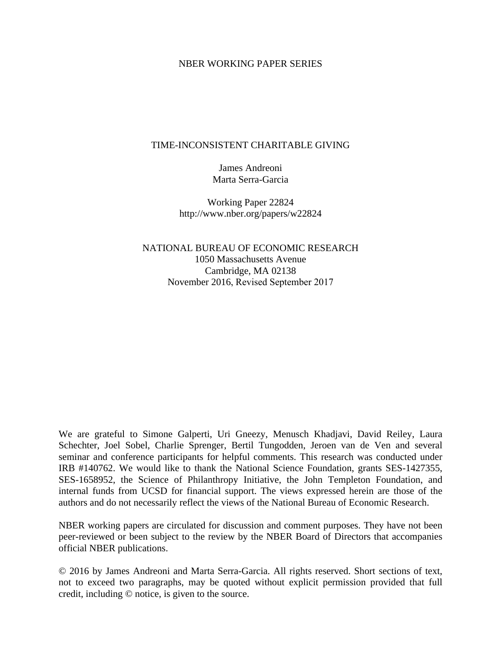#### NBER WORKING PAPER SERIES

#### TIME-INCONSISTENT CHARITABLE GIVING

James Andreoni Marta Serra-Garcia

Working Paper 22824 http://www.nber.org/papers/w22824

NATIONAL BUREAU OF ECONOMIC RESEARCH 1050 Massachusetts Avenue Cambridge, MA 02138 November 2016, Revised September 2017

We are grateful to Simone Galperti, Uri Gneezy, Menusch Khadjavi, David Reiley, Laura Schechter, Joel Sobel, Charlie Sprenger, Bertil Tungodden, Jeroen van de Ven and several seminar and conference participants for helpful comments. This research was conducted under IRB #140762. We would like to thank the National Science Foundation, grants SES-1427355, SES-1658952, the Science of Philanthropy Initiative, the John Templeton Foundation, and internal funds from UCSD for financial support. The views expressed herein are those of the authors and do not necessarily reflect the views of the National Bureau of Economic Research.

NBER working papers are circulated for discussion and comment purposes. They have not been peer-reviewed or been subject to the review by the NBER Board of Directors that accompanies official NBER publications.

© 2016 by James Andreoni and Marta Serra-Garcia. All rights reserved. Short sections of text, not to exceed two paragraphs, may be quoted without explicit permission provided that full credit, including © notice, is given to the source.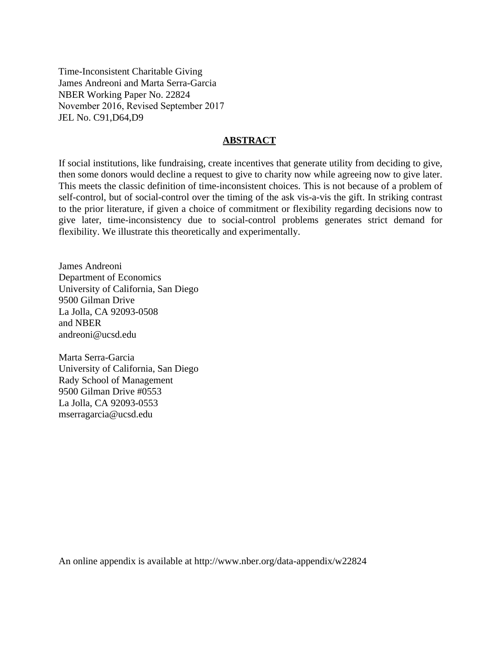Time-Inconsistent Charitable Giving James Andreoni and Marta Serra-Garcia NBER Working Paper No. 22824 November 2016, Revised September 2017 JEL No. C91,D64,D9

#### **ABSTRACT**

If social institutions, like fundraising, create incentives that generate utility from deciding to give, then some donors would decline a request to give to charity now while agreeing now to give later. This meets the classic definition of time-inconsistent choices. This is not because of a problem of self-control, but of social-control over the timing of the ask vis-a-vis the gift. In striking contrast to the prior literature, if given a choice of commitment or flexibility regarding decisions now to give later, time-inconsistency due to social-control problems generates strict demand for flexibility. We illustrate this theoretically and experimentally.

James Andreoni Department of Economics University of California, San Diego 9500 Gilman Drive La Jolla, CA 92093-0508 and NBER andreoni@ucsd.edu

Marta Serra-Garcia University of California, San Diego Rady School of Management 9500 Gilman Drive #0553 La Jolla, CA 92093-0553 mserragarcia@ucsd.edu

An online appendix is available at http://www.nber.org/data-appendix/w22824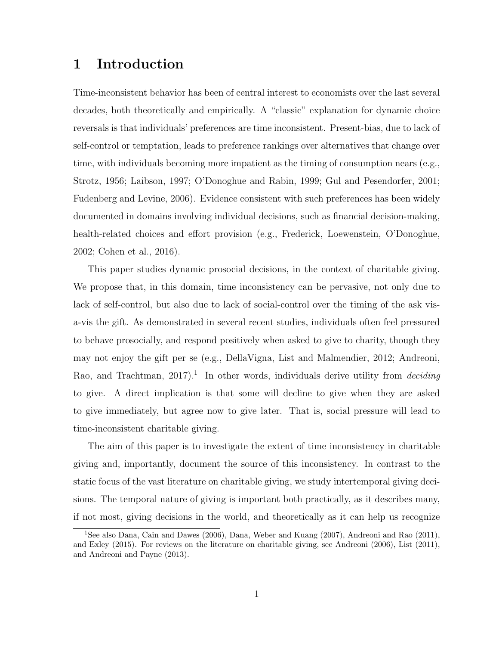# 1 Introduction

Time-inconsistent behavior has been of central interest to economists over the last several decades, both theoretically and empirically. A "classic" explanation for dynamic choice reversals is that individuals' preferences are time inconsistent. Present-bias, due to lack of self-control or temptation, leads to preference rankings over alternatives that change over time, with individuals becoming more impatient as the timing of consumption nears (e.g., Strotz, 1956; Laibson, 1997; O'Donoghue and Rabin, 1999; Gul and Pesendorfer, 2001; Fudenberg and Levine, 2006). Evidence consistent with such preferences has been widely documented in domains involving individual decisions, such as financial decision-making, health-related choices and effort provision (e.g., Frederick, Loewenstein, O'Donoghue, 2002; Cohen et al., 2016).

This paper studies dynamic prosocial decisions, in the context of charitable giving. We propose that, in this domain, time inconsistency can be pervasive, not only due to lack of self-control, but also due to lack of social-control over the timing of the ask visa-vis the gift. As demonstrated in several recent studies, individuals often feel pressured to behave prosocially, and respond positively when asked to give to charity, though they may not enjoy the gift per se (e.g., DellaVigna, List and Malmendier, 2012; Andreoni, Rao, and Trachtman,  $2017$ <sup>1</sup>. In other words, individuals derive utility from *deciding* to give. A direct implication is that some will decline to give when they are asked to give immediately, but agree now to give later. That is, social pressure will lead to time-inconsistent charitable giving.

The aim of this paper is to investigate the extent of time inconsistency in charitable giving and, importantly, document the source of this inconsistency. In contrast to the static focus of the vast literature on charitable giving, we study intertemporal giving decisions. The temporal nature of giving is important both practically, as it describes many, if not most, giving decisions in the world, and theoretically as it can help us recognize

<sup>1</sup>See also Dana, Cain and Dawes (2006), Dana, Weber and Kuang (2007), Andreoni and Rao (2011), and Exley (2015). For reviews on the literature on charitable giving, see Andreoni (2006), List (2011), and Andreoni and Payne (2013).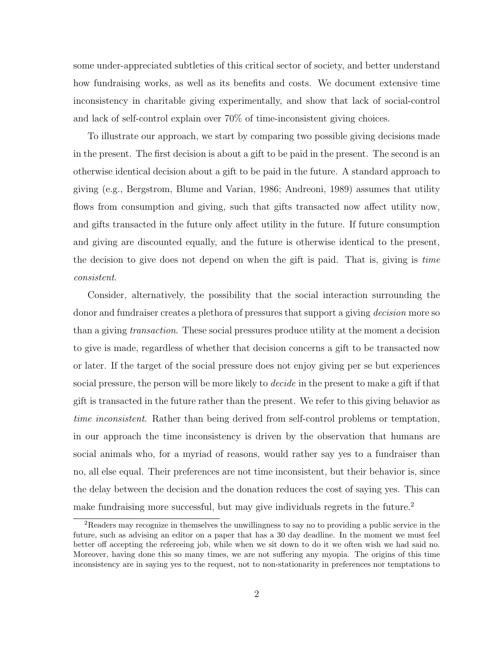some under-appreciated subtleties of this critical sector of society, and better understand how fundraising works, as well as its benefits and costs. We document extensive time inconsistency in charitable giving experimentally, and show that lack of social-control and lack of self-control explain over 70% of time-inconsistent giving choices.

To illustrate our approach, we start by comparing two possible giving decisions made in the present. The first decision is about a gift to be paid in the present. The second is an otherwise identical decision about a gift to be paid in the future. A standard approach to giving (e.g., Bergstrom, Blume and Varian, 1986; Andreoni, 1989) assumes that utility flows from consumption and giving, such that gifts transacted now affect utility now, and gifts transacted in the future only affect utility in the future. If future consumption and giving are discounted equally, and the future is otherwise identical to the present, the decision to give does not depend on when the gift is paid. That is, giving is time consistent.

Consider, alternatively, the possibility that the social interaction surrounding the donor and fundraiser creates a plethora of pressures that support a giving *decision* more so than a giving transaction. These social pressures produce utility at the moment a decision to give is made, regardless of whether that decision concerns a gift to be transacted now or later. If the target of the social pressure does not enjoy giving per se but experiences social pressure, the person will be more likely to *decide* in the present to make a gift if that gift is transacted in the future rather than the present. We refer to this giving behavior as time inconsistent. Rather than being derived from self-control problems or temptation, in our approach the time inconsistency is driven by the observation that humans are social animals who, for a myriad of reasons, would rather say yes to a fundraiser than no, all else equal. Their preferences are not time inconsistent, but their behavior is, since the delay between the decision and the donation reduces the cost of saying yes. This can make fundraising more successful, but may give individuals regrets in the future.<sup>2</sup>

 ${}^{2}$ Readers may recognize in themselves the unwillingness to say no to providing a public service in the future, such as advising an editor on a paper that has a 30 day deadline. In the moment we must feel better off accepting the refereeing job, while when we sit down to do it we often wish we had said no. Moreover, having done this so many times, we are not suffering any myopia. The origins of this time inconsistency are in saying yes to the request, not to non-stationarity in preferences nor temptations to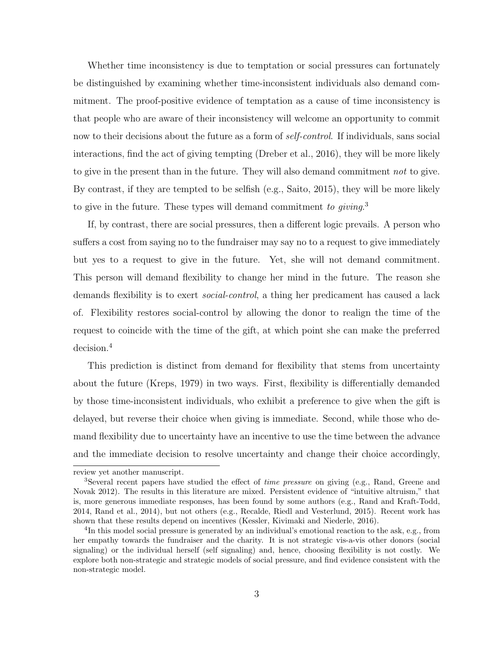Whether time inconsistency is due to temptation or social pressures can fortunately be distinguished by examining whether time-inconsistent individuals also demand commitment. The proof-positive evidence of temptation as a cause of time inconsistency is that people who are aware of their inconsistency will welcome an opportunity to commit now to their decisions about the future as a form of *self-control*. If individuals, sans social interactions, find the act of giving tempting (Dreber et al., 2016), they will be more likely to give in the present than in the future. They will also demand commitment not to give. By contrast, if they are tempted to be selfish (e.g., Saito, 2015), they will be more likely to give in the future. These types will demand commitment to giving.<sup>3</sup>

If, by contrast, there are social pressures, then a different logic prevails. A person who suffers a cost from saying no to the fundraiser may say no to a request to give immediately but yes to a request to give in the future. Yet, she will not demand commitment. This person will demand flexibility to change her mind in the future. The reason she demands flexibility is to exert *social-control*, a thing her predicament has caused a lack of. Flexibility restores social-control by allowing the donor to realign the time of the request to coincide with the time of the gift, at which point she can make the preferred decision.<sup>4</sup>

This prediction is distinct from demand for flexibility that stems from uncertainty about the future (Kreps, 1979) in two ways. First, flexibility is differentially demanded by those time-inconsistent individuals, who exhibit a preference to give when the gift is delayed, but reverse their choice when giving is immediate. Second, while those who demand flexibility due to uncertainty have an incentive to use the time between the advance and the immediate decision to resolve uncertainty and change their choice accordingly,

review yet another manuscript.

<sup>&</sup>lt;sup>3</sup>Several recent papers have studied the effect of *time pressure* on giving (e.g., Rand, Greene and Novak 2012). The results in this literature are mixed. Persistent evidence of "intuitive altruism," that is, more generous immediate responses, has been found by some authors (e.g., Rand and Kraft-Todd, 2014, Rand et al., 2014), but not others (e.g., Recalde, Riedl and Vesterlund, 2015). Recent work has shown that these results depend on incentives (Kessler, Kivimaki and Niederle, 2016).

<sup>&</sup>lt;sup>4</sup>In this model social pressure is generated by an individual's emotional reaction to the ask, e.g., from her empathy towards the fundraiser and the charity. It is not strategic vis-a-vis other donors (social signaling) or the individual herself (self signaling) and, hence, choosing flexibility is not costly. We explore both non-strategic and strategic models of social pressure, and find evidence consistent with the non-strategic model.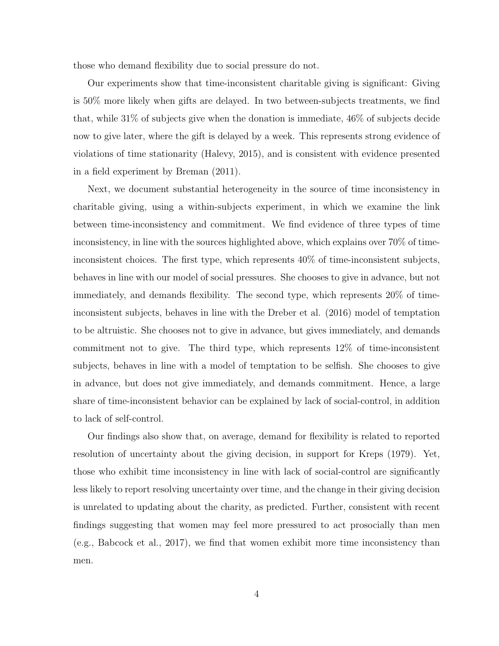those who demand flexibility due to social pressure do not.

Our experiments show that time-inconsistent charitable giving is significant: Giving is 50% more likely when gifts are delayed. In two between-subjects treatments, we find that, while 31% of subjects give when the donation is immediate, 46% of subjects decide now to give later, where the gift is delayed by a week. This represents strong evidence of violations of time stationarity (Halevy, 2015), and is consistent with evidence presented in a field experiment by Breman (2011).

Next, we document substantial heterogeneity in the source of time inconsistency in charitable giving, using a within-subjects experiment, in which we examine the link between time-inconsistency and commitment. We find evidence of three types of time inconsistency, in line with the sources highlighted above, which explains over 70% of timeinconsistent choices. The first type, which represents 40% of time-inconsistent subjects, behaves in line with our model of social pressures. She chooses to give in advance, but not immediately, and demands flexibility. The second type, which represents 20% of timeinconsistent subjects, behaves in line with the Dreber et al. (2016) model of temptation to be altruistic. She chooses not to give in advance, but gives immediately, and demands commitment not to give. The third type, which represents 12% of time-inconsistent subjects, behaves in line with a model of temptation to be selfish. She chooses to give in advance, but does not give immediately, and demands commitment. Hence, a large share of time-inconsistent behavior can be explained by lack of social-control, in addition to lack of self-control.

Our findings also show that, on average, demand for flexibility is related to reported resolution of uncertainty about the giving decision, in support for Kreps (1979). Yet, those who exhibit time inconsistency in line with lack of social-control are significantly less likely to report resolving uncertainty over time, and the change in their giving decision is unrelated to updating about the charity, as predicted. Further, consistent with recent findings suggesting that women may feel more pressured to act prosocially than men (e.g., Babcock et al., 2017), we find that women exhibit more time inconsistency than men.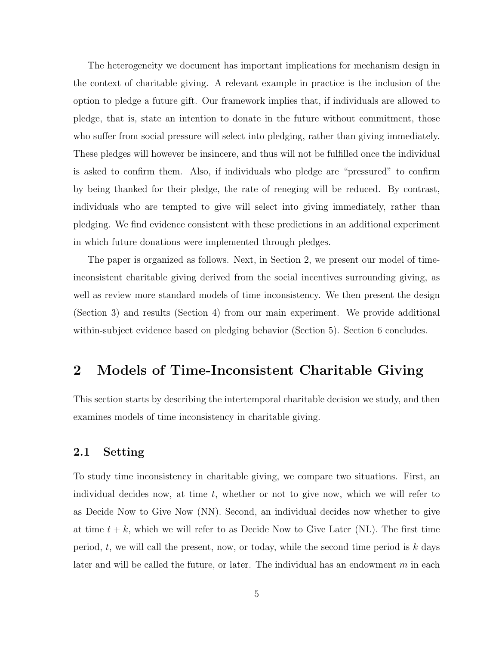The heterogeneity we document has important implications for mechanism design in the context of charitable giving. A relevant example in practice is the inclusion of the option to pledge a future gift. Our framework implies that, if individuals are allowed to pledge, that is, state an intention to donate in the future without commitment, those who suffer from social pressure will select into pledging, rather than giving immediately. These pledges will however be insincere, and thus will not be fulfilled once the individual is asked to confirm them. Also, if individuals who pledge are "pressured" to confirm by being thanked for their pledge, the rate of reneging will be reduced. By contrast, individuals who are tempted to give will select into giving immediately, rather than pledging. We find evidence consistent with these predictions in an additional experiment in which future donations were implemented through pledges.

The paper is organized as follows. Next, in Section 2, we present our model of timeinconsistent charitable giving derived from the social incentives surrounding giving, as well as review more standard models of time inconsistency. We then present the design (Section 3) and results (Section 4) from our main experiment. We provide additional within-subject evidence based on pledging behavior (Section 5). Section 6 concludes.

# 2 Models of Time-Inconsistent Charitable Giving

This section starts by describing the intertemporal charitable decision we study, and then examines models of time inconsistency in charitable giving.

#### 2.1 Setting

To study time inconsistency in charitable giving, we compare two situations. First, an individual decides now, at time  $t$ , whether or not to give now, which we will refer to as Decide Now to Give Now (NN). Second, an individual decides now whether to give at time  $t + k$ , which we will refer to as Decide Now to Give Later (NL). The first time period, t, we will call the present, now, or today, while the second time period is  $k$  days later and will be called the future, or later. The individual has an endowment  $m$  in each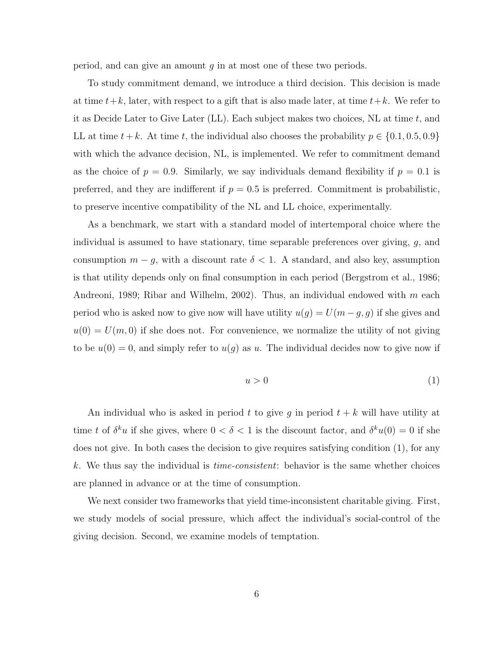period, and can give an amount g in at most one of these two periods.

To study commitment demand, we introduce a third decision. This decision is made at time  $t+k$ , later, with respect to a gift that is also made later, at time  $t+k$ . We refer to it as Decide Later to Give Later (LL). Each subject makes two choices, NL at time  $t$ , and LL at time  $t + k$ . At time t, the individual also chooses the probability  $p \in \{0.1, 0.5, 0.9\}$ with which the advance decision, NL, is implemented. We refer to commitment demand as the choice of  $p = 0.9$ . Similarly, we say individuals demand flexibility if  $p = 0.1$  is preferred, and they are indifferent if  $p = 0.5$  is preferred. Commitment is probabilistic, to preserve incentive compatibility of the NL and LL choice, experimentally.

As a benchmark, we start with a standard model of intertemporal choice where the individual is assumed to have stationary, time separable preferences over giving,  $g$ , and consumption  $m - g$ , with a discount rate  $\delta < 1$ . A standard, and also key, assumption is that utility depends only on final consumption in each period (Bergstrom et al., 1986; Andreoni, 1989; Ribar and Wilhelm, 2002). Thus, an individual endowed with  $m$  each period who is asked now to give now will have utility  $u(g) = U(m - g, g)$  if she gives and  $u(0) = U(m, 0)$  if she does not. For convenience, we normalize the utility of not giving to be  $u(0) = 0$ , and simply refer to  $u(g)$  as u. The individual decides now to give now if

$$
u > 0 \tag{1}
$$

An individual who is asked in period t to give g in period  $t + k$  will have utility at time t of  $\delta^k u$  if she gives, where  $0 < \delta < 1$  is the discount factor, and  $\delta^k u(0) = 0$  if she does not give. In both cases the decision to give requires satisfying condition (1), for any k. We thus say the individual is *time-consistent*: behavior is the same whether choices are planned in advance or at the time of consumption.

We next consider two frameworks that yield time-inconsistent charitable giving. First, we study models of social pressure, which affect the individual's social-control of the giving decision. Second, we examine models of temptation.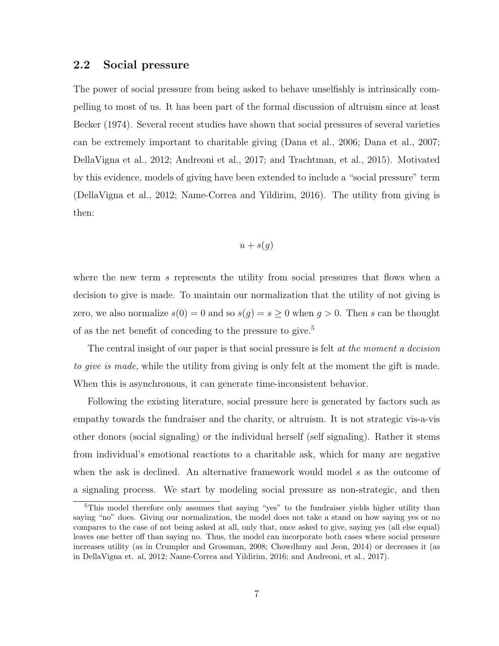#### 2.2 Social pressure

The power of social pressure from being asked to behave unselfishly is intrinsically compelling to most of us. It has been part of the formal discussion of altruism since at least Becker (1974). Several recent studies have shown that social pressures of several varieties can be extremely important to charitable giving (Dana et al., 2006; Dana et al., 2007; DellaVigna et al., 2012; Andreoni et al., 2017; and Trachtman, et al., 2015). Motivated by this evidence, models of giving have been extended to include a "social pressure" term (DellaVigna et al., 2012; Name-Correa and Yildirim, 2016). The utility from giving is then:

$$
u+s(g)
$$

where the new term s represents the utility from social pressures that flows when a decision to give is made. To maintain our normalization that the utility of not giving is zero, we also normalize  $s(0) = 0$  and so  $s(g) = s \ge 0$  when  $g > 0$ . Then s can be thought of as the net benefit of conceding to the pressure to give.<sup>5</sup>

The central insight of our paper is that social pressure is felt at the moment a decision to give is made, while the utility from giving is only felt at the moment the gift is made. When this is asynchronous, it can generate time-inconsistent behavior.

Following the existing literature, social pressure here is generated by factors such as empathy towards the fundraiser and the charity, or altruism. It is not strategic vis-a-vis other donors (social signaling) or the individual herself (self signaling). Rather it stems from individual's emotional reactions to a charitable ask, which for many are negative when the ask is declined. An alternative framework would model s as the outcome of a signaling process. We start by modeling social pressure as non-strategic, and then

<sup>&</sup>lt;sup>5</sup>This model therefore only assumes that saying "yes" to the fundraiser yields higher utility than saying "no" does. Giving our normalization, the model does not take a stand on how saying yes or no compares to the case of not being asked at all, only that, once asked to give, saying yes (all else equal) leaves one better off than saying no. Thus, the model can incorporate both cases where social pressure increases utility (as in Crumpler and Grossman, 2008; Chowdhury and Jeon, 2014) or decreases it (as in DellaVigna et. al, 2012; Name-Correa and Yildirim, 2016; and Andreoni, et al., 2017).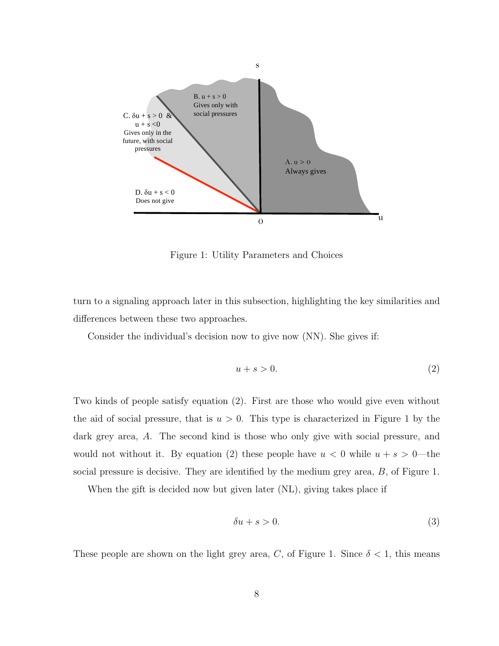

Figure 1: Utility Parameters and Choices

turn to a signaling approach later in this subsection, highlighting the key similarities and differences between these two approaches.

Consider the individual's decision now to give now (NN). She gives if:

$$
u + s > 0.\t\t(2)
$$

Two kinds of people satisfy equation (2). First are those who would give even without the aid of social pressure, that is  $u > 0$ . This type is characterized in Figure 1 by the dark grey area, A. The second kind is those who only give with social pressure, and would not without it. By equation (2) these people have  $u < 0$  while  $u + s > 0$ —the social pressure is decisive. They are identified by the medium grey area, B, of Figure 1.

When the gift is decided now but given later (NL), giving takes place if

$$
\delta u + s > 0. \tag{3}
$$

These people are shown on the light grey area, C, of Figure 1. Since  $\delta < 1$ , this means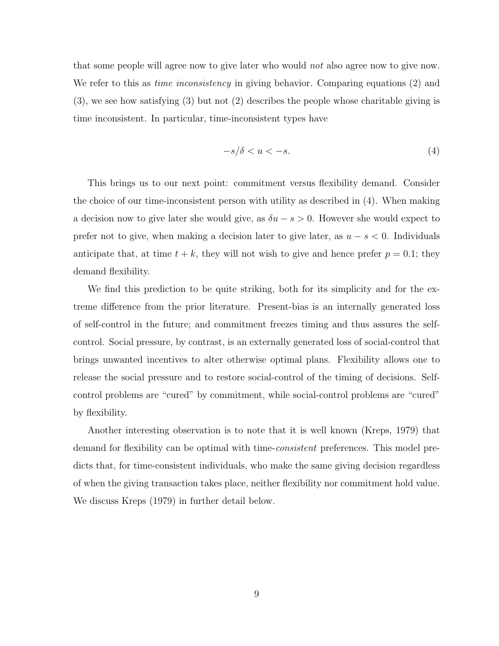that some people will agree now to give later who would not also agree now to give now. We refer to this as *time inconsistency* in giving behavior. Comparing equations (2) and (3), we see how satisfying (3) but not (2) describes the people whose charitable giving is time inconsistent. In particular, time-inconsistent types have

$$
-s/\delta < u < -s. \tag{4}
$$

This brings us to our next point: commitment versus flexibility demand. Consider the choice of our time-inconsistent person with utility as described in (4). When making a decision now to give later she would give, as  $\delta u - s > 0$ . However she would expect to prefer not to give, when making a decision later to give later, as  $u - s < 0$ . Individuals anticipate that, at time  $t + k$ , they will not wish to give and hence prefer  $p = 0.1$ ; they demand flexibility.

We find this prediction to be quite striking, both for its simplicity and for the extreme difference from the prior literature. Present-bias is an internally generated loss of self-control in the future; and commitment freezes timing and thus assures the selfcontrol. Social pressure, by contrast, is an externally generated loss of social-control that brings unwanted incentives to alter otherwise optimal plans. Flexibility allows one to release the social pressure and to restore social-control of the timing of decisions. Selfcontrol problems are "cured" by commitment, while social-control problems are "cured" by flexibility.

Another interesting observation is to note that it is well known (Kreps, 1979) that demand for flexibility can be optimal with time-*consistent* preferences. This model predicts that, for time-consistent individuals, who make the same giving decision regardless of when the giving transaction takes place, neither flexibility nor commitment hold value. We discuss Kreps (1979) in further detail below.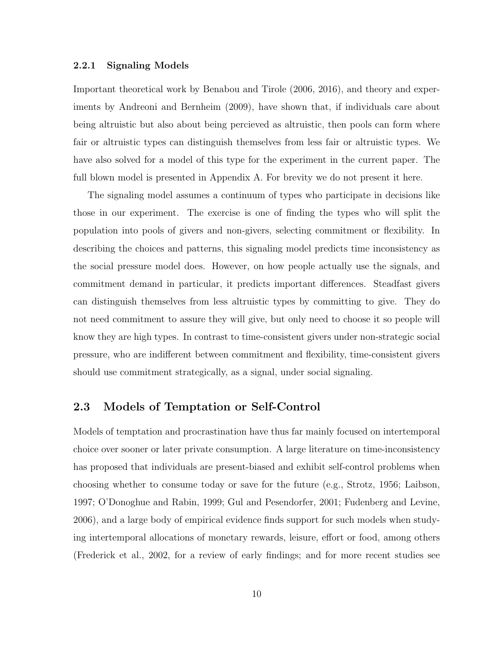#### 2.2.1 Signaling Models

Important theoretical work by Benabou and Tirole (2006, 2016), and theory and experiments by Andreoni and Bernheim (2009), have shown that, if individuals care about being altruistic but also about being percieved as altruistic, then pools can form where fair or altruistic types can distinguish themselves from less fair or altruistic types. We have also solved for a model of this type for the experiment in the current paper. The full blown model is presented in Appendix A. For brevity we do not present it here.

The signaling model assumes a continuum of types who participate in decisions like those in our experiment. The exercise is one of finding the types who will split the population into pools of givers and non-givers, selecting commitment or flexibility. In describing the choices and patterns, this signaling model predicts time inconsistency as the social pressure model does. However, on how people actually use the signals, and commitment demand in particular, it predicts important differences. Steadfast givers can distinguish themselves from less altruistic types by committing to give. They do not need commitment to assure they will give, but only need to choose it so people will know they are high types. In contrast to time-consistent givers under non-strategic social pressure, who are indifferent between commitment and flexibility, time-consistent givers should use commitment strategically, as a signal, under social signaling.

### 2.3 Models of Temptation or Self-Control

Models of temptation and procrastination have thus far mainly focused on intertemporal choice over sooner or later private consumption. A large literature on time-inconsistency has proposed that individuals are present-biased and exhibit self-control problems when choosing whether to consume today or save for the future (e.g., Strotz, 1956; Laibson, 1997; O'Donoghue and Rabin, 1999; Gul and Pesendorfer, 2001; Fudenberg and Levine, 2006), and a large body of empirical evidence finds support for such models when studying intertemporal allocations of monetary rewards, leisure, effort or food, among others (Frederick et al., 2002, for a review of early findings; and for more recent studies see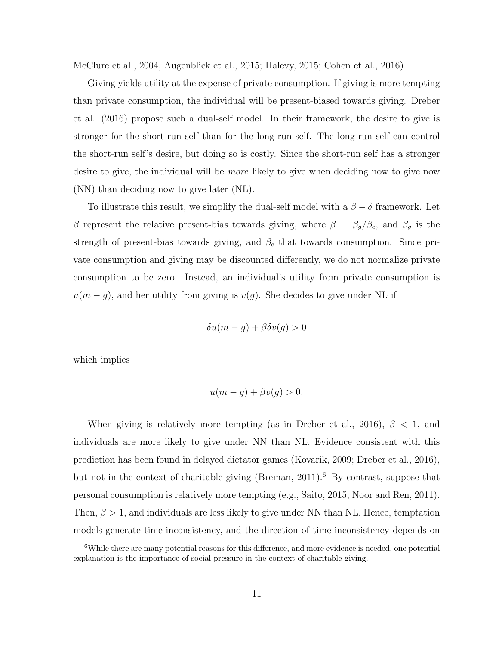McClure et al., 2004, Augenblick et al., 2015; Halevy, 2015; Cohen et al., 2016).

Giving yields utility at the expense of private consumption. If giving is more tempting than private consumption, the individual will be present-biased towards giving. Dreber et al. (2016) propose such a dual-self model. In their framework, the desire to give is stronger for the short-run self than for the long-run self. The long-run self can control the short-run self's desire, but doing so is costly. Since the short-run self has a stronger desire to give, the individual will be *more* likely to give when deciding now to give now (NN) than deciding now to give later (NL).

To illustrate this result, we simplify the dual-self model with a  $\beta - \delta$  framework. Let β represent the relative present-bias towards giving, where  $β = β_g/β_c$ , and  $β_g$  is the strength of present-bias towards giving, and  $\beta_c$  that towards consumption. Since private consumption and giving may be discounted differently, we do not normalize private consumption to be zero. Instead, an individual's utility from private consumption is  $u(m-g)$ , and her utility from giving is  $v(g)$ . She decides to give under NL if

$$
\delta u(m-g) + \beta \delta v(g) > 0
$$

which implies

$$
u(m-g) + \beta v(g) > 0.
$$

When giving is relatively more tempting (as in Dreber et al., 2016),  $\beta$  < 1, and individuals are more likely to give under NN than NL. Evidence consistent with this prediction has been found in delayed dictator games (Kovarik, 2009; Dreber et al., 2016), but not in the context of charitable giving (Breman,  $2011$ ).<sup>6</sup> By contrast, suppose that personal consumption is relatively more tempting (e.g., Saito, 2015; Noor and Ren, 2011). Then,  $\beta > 1$ , and individuals are less likely to give under NN than NL. Hence, temptation models generate time-inconsistency, and the direction of time-inconsistency depends on

<sup>&</sup>lt;sup>6</sup>While there are many potential reasons for this difference, and more evidence is needed, one potential explanation is the importance of social pressure in the context of charitable giving.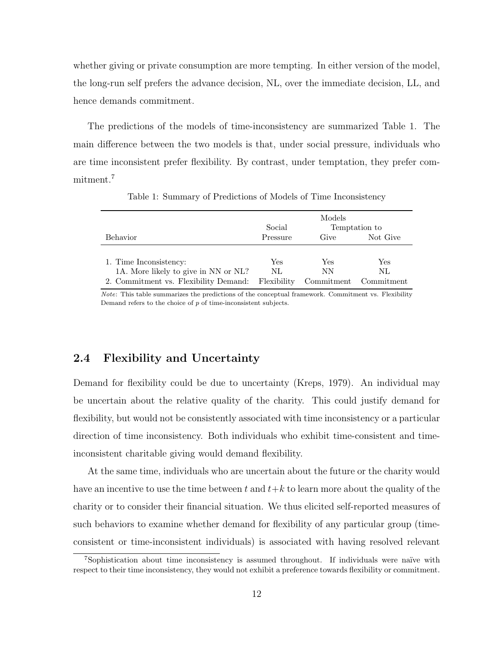whether giving or private consumption are more tempting. In either version of the model, the long-run self prefers the advance decision, NL, over the immediate decision, LL, and hence demands commitment.

The predictions of the models of time-inconsistency are summarized Table 1. The main difference between the two models is that, under social pressure, individuals who are time inconsistent prefer flexibility. By contrast, under temptation, they prefer commitment.<sup>7</sup>

|                                       | Models<br>Social<br>Temptation to |            |            |
|---------------------------------------|-----------------------------------|------------|------------|
| Behavior                              | Pressure                          | Give       | Not Give   |
|                                       |                                   |            |            |
| 1. Time Inconsistency:                | Yes                               | Yes        | Yes        |
| 1A. More likely to give in NN or NL?  | NL                                | NΝ         | NL         |
| 2. Commitment vs. Flexibility Demand: | Flexibility                       | Commitment | Commitment |

Table 1: Summary of Predictions of Models of Time Inconsistency

Note: This table summarizes the predictions of the conceptual framework. Commitment vs. Flexibility Demand refers to the choice of p of time-inconsistent subjects.

### 2.4 Flexibility and Uncertainty

Demand for flexibility could be due to uncertainty (Kreps, 1979). An individual may be uncertain about the relative quality of the charity. This could justify demand for flexibility, but would not be consistently associated with time inconsistency or a particular direction of time inconsistency. Both individuals who exhibit time-consistent and timeinconsistent charitable giving would demand flexibility.

At the same time, individuals who are uncertain about the future or the charity would have an incentive to use the time between t and  $t+k$  to learn more about the quality of the charity or to consider their financial situation. We thus elicited self-reported measures of such behaviors to examine whether demand for flexibility of any particular group (timeconsistent or time-inconsistent individuals) is associated with having resolved relevant

<sup>&</sup>lt;sup>7</sup>Sophistication about time inconsistency is assumed throughout. If individuals were naïve with respect to their time inconsistency, they would not exhibit a preference towards flexibility or commitment.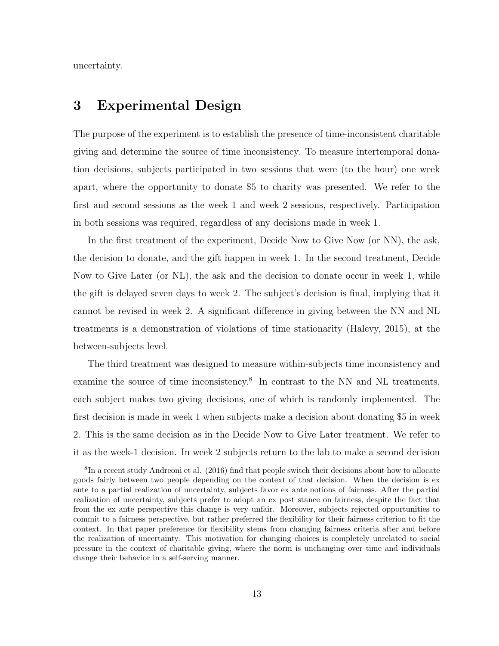uncertainty.

## 3 Experimental Design

The purpose of the experiment is to establish the presence of time-inconsistent charitable giving and determine the source of time inconsistency. To measure intertemporal donation decisions, subjects participated in two sessions that were (to the hour) one week apart, where the opportunity to donate \$5 to charity was presented. We refer to the first and second sessions as the week 1 and week 2 sessions, respectively. Participation in both sessions was required, regardless of any decisions made in week 1.

In the first treatment of the experiment, Decide Now to Give Now (or NN), the ask, the decision to donate, and the gift happen in week 1. In the second treatment, Decide Now to Give Later (or NL), the ask and the decision to donate occur in week 1, while the gift is delayed seven days to week 2. The subject's decision is final, implying that it cannot be revised in week 2. A significant difference in giving between the NN and NL treatments is a demonstration of violations of time stationarity (Halevy, 2015), at the between-subjects level.

The third treatment was designed to measure within-subjects time inconsistency and examine the source of time inconsistency.<sup>8</sup> In contrast to the NN and NL treatments, each subject makes two giving decisions, one of which is randomly implemented. The first decision is made in week 1 when subjects make a decision about donating \$5 in week 2. This is the same decision as in the Decide Now to Give Later treatment. We refer to it as the week-1 decision. In week 2 subjects return to the lab to make a second decision

<sup>8</sup> In a recent study Andreoni et al. (2016) find that people switch their decisions about how to allocate goods fairly between two people depending on the context of that decision. When the decision is ex ante to a partial realization of uncertainty, subjects favor ex ante notions of fairness. After the partial realization of uncertainty, subjects prefer to adopt an ex post stance on fairness, despite the fact that from the ex ante perspective this change is very unfair. Moreover, subjects rejected opportunities to commit to a fairness perspective, but rather preferred the flexibility for their fairness criterion to fit the context. In that paper preference for flexibility stems from changing fairness criteria after and before the realization of uncertainty. This motivation for changing choices is completely unrelated to social pressure in the context of charitable giving, where the norm is unchanging over time and individuals change their behavior in a self-serving manner.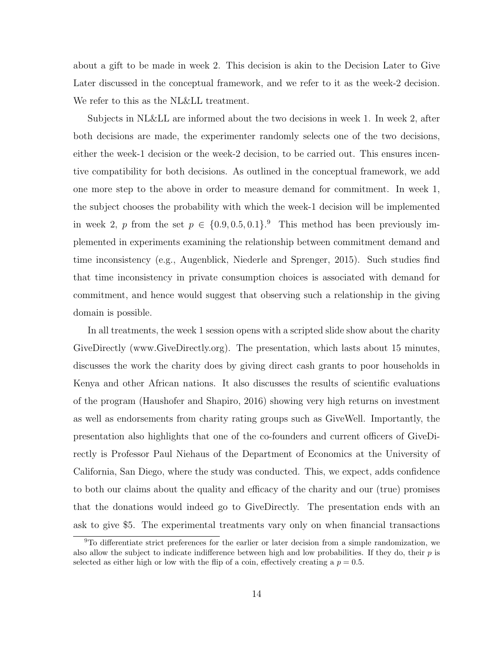about a gift to be made in week 2. This decision is akin to the Decision Later to Give Later discussed in the conceptual framework, and we refer to it as the week-2 decision. We refer to this as the NL&LL treatment.

Subjects in NL&LL are informed about the two decisions in week 1. In week 2, after both decisions are made, the experimenter randomly selects one of the two decisions, either the week-1 decision or the week-2 decision, to be carried out. This ensures incentive compatibility for both decisions. As outlined in the conceptual framework, we add one more step to the above in order to measure demand for commitment. In week 1, the subject chooses the probability with which the week-1 decision will be implemented in week 2, p from the set  $p \in \{0.9, 0.5, 0.1\}$ . This method has been previously implemented in experiments examining the relationship between commitment demand and time inconsistency (e.g., Augenblick, Niederle and Sprenger, 2015). Such studies find that time inconsistency in private consumption choices is associated with demand for commitment, and hence would suggest that observing such a relationship in the giving domain is possible.

In all treatments, the week 1 session opens with a scripted slide show about the charity GiveDirectly (www.GiveDirectly.org). The presentation, which lasts about 15 minutes, discusses the work the charity does by giving direct cash grants to poor households in Kenya and other African nations. It also discusses the results of scientific evaluations of the program (Haushofer and Shapiro, 2016) showing very high returns on investment as well as endorsements from charity rating groups such as GiveWell. Importantly, the presentation also highlights that one of the co-founders and current officers of GiveDirectly is Professor Paul Niehaus of the Department of Economics at the University of California, San Diego, where the study was conducted. This, we expect, adds confidence to both our claims about the quality and efficacy of the charity and our (true) promises that the donations would indeed go to GiveDirectly. The presentation ends with an ask to give \$5. The experimental treatments vary only on when financial transactions

<sup>&</sup>lt;sup>9</sup>To differentiate strict preferences for the earlier or later decision from a simple randomization, we also allow the subject to indicate indifference between high and low probabilities. If they do, their  $p$  is selected as either high or low with the flip of a coin, effectively creating a  $p = 0.5$ .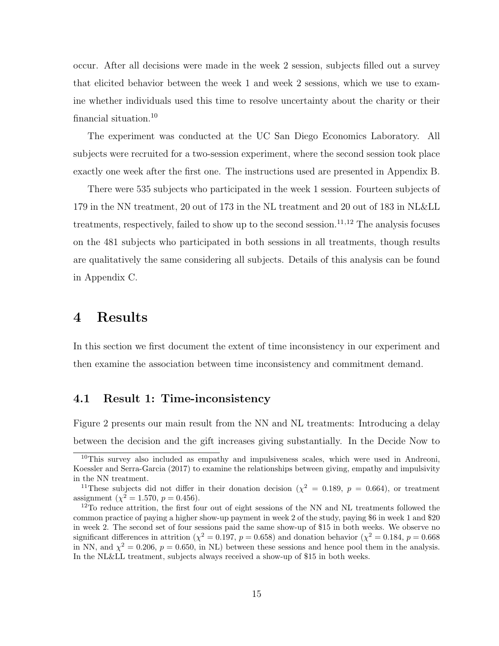occur. After all decisions were made in the week 2 session, subjects filled out a survey that elicited behavior between the week 1 and week 2 sessions, which we use to examine whether individuals used this time to resolve uncertainty about the charity or their financial situation.<sup>10</sup>

The experiment was conducted at the UC San Diego Economics Laboratory. All subjects were recruited for a two-session experiment, where the second session took place exactly one week after the first one. The instructions used are presented in Appendix B.

There were 535 subjects who participated in the week 1 session. Fourteen subjects of 179 in the NN treatment, 20 out of 173 in the NL treatment and 20 out of 183 in NL&LL treatments, respectively, failed to show up to the second session.<sup>11,12</sup> The analysis focuses on the 481 subjects who participated in both sessions in all treatments, though results are qualitatively the same considering all subjects. Details of this analysis can be found in Appendix C.

## 4 Results

In this section we first document the extent of time inconsistency in our experiment and then examine the association between time inconsistency and commitment demand.

#### 4.1 Result 1: Time-inconsistency

Figure 2 presents our main result from the NN and NL treatments: Introducing a delay between the decision and the gift increases giving substantially. In the Decide Now to

<sup>&</sup>lt;sup>10</sup>This survey also included as empathy and impulsiveness scales, which were used in Andreoni, Koessler and Serra-Garcia (2017) to examine the relationships between giving, empathy and impulsivity in the NN treatment.

<sup>&</sup>lt;sup>11</sup>These subjects did not differ in their donation decision ( $\chi^2 = 0.189$ ,  $p = 0.664$ ), or treatment assignment  $(\chi^2 = 1.570, p = 0.456)$ .

<sup>&</sup>lt;sup>12</sup>To reduce attrition, the first four out of eight sessions of the NN and NL treatments followed the common practice of paying a higher show-up payment in week 2 of the study, paying \$6 in week 1 and \$20 in week 2. The second set of four sessions paid the same show-up of \$15 in both weeks. We observe no significant differences in attrition ( $\chi^2 = 0.197$ ,  $p = 0.658$ ) and donation behavior ( $\chi^2 = 0.184$ ,  $p = 0.668$ ) in NN, and  $\chi^2 = 0.206$ ,  $p = 0.650$ , in NL) between these sessions and hence pool them in the analysis. In the NL&LL treatment, subjects always received a show-up of \$15 in both weeks.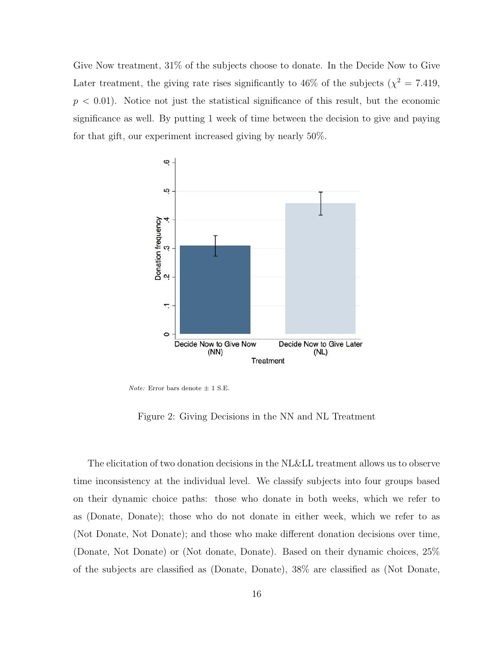Give Now treatment, 31% of the subjects choose to donate. In the Decide Now to Give Later treatment, the giving rate rises significantly to 46% of the subjects ( $\chi^2 = 7.419$ ,  $p < 0.01$ ). Notice not just the statistical significance of this result, but the economic significance as well. By putting 1 week of time between the decision to give and paying for that gift, our experiment increased giving by nearly 50%.



*Note:* Error bars denote  $\pm$  1 S.E.

Figure 2: Giving Decisions in the NN and NL Treatment

The elicitation of two donation decisions in the NL&LL treatment allows us to observe time inconsistency at the individual level. We classify subjects into four groups based on their dynamic choice paths: those who donate in both weeks, which we refer to as (Donate, Donate); those who do not donate in either week, which we refer to as (Not Donate, Not Donate); and those who make different donation decisions over time, (Donate, Not Donate) or (Not donate, Donate). Based on their dynamic choices, 25% of the subjects are classified as (Donate, Donate), 38% are classified as (Not Donate,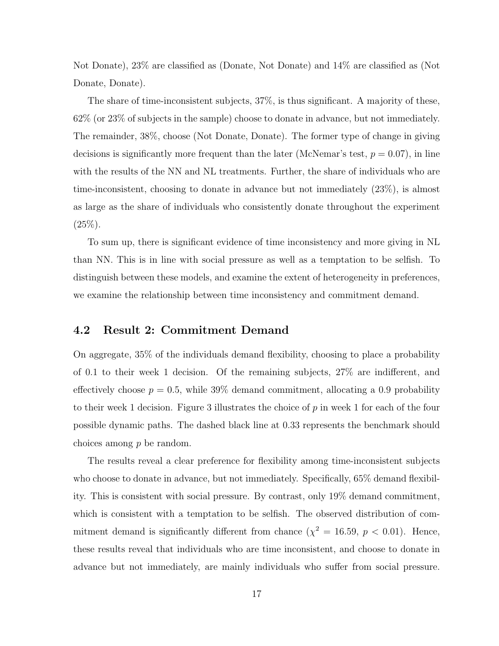Not Donate), 23% are classified as (Donate, Not Donate) and 14% are classified as (Not Donate, Donate).

The share of time-inconsistent subjects, 37%, is thus significant. A majority of these, 62% (or 23% of subjects in the sample) choose to donate in advance, but not immediately. The remainder, 38%, choose (Not Donate, Donate). The former type of change in giving decisions is significantly more frequent than the later (McNemar's test,  $p = 0.07$ ), in line with the results of the NN and NL treatments. Further, the share of individuals who are time-inconsistent, choosing to donate in advance but not immediately (23%), is almost as large as the share of individuals who consistently donate throughout the experiment  $(25\%).$ 

To sum up, there is significant evidence of time inconsistency and more giving in NL than NN. This is in line with social pressure as well as a temptation to be selfish. To distinguish between these models, and examine the extent of heterogeneity in preferences, we examine the relationship between time inconsistency and commitment demand.

#### 4.2 Result 2: Commitment Demand

On aggregate, 35% of the individuals demand flexibility, choosing to place a probability of 0.1 to their week 1 decision. Of the remaining subjects, 27% are indifferent, and effectively choose  $p = 0.5$ , while 39% demand commitment, allocating a 0.9 probability to their week 1 decision. Figure 3 illustrates the choice of  $p$  in week 1 for each of the four possible dynamic paths. The dashed black line at 0.33 represents the benchmark should choices among p be random.

The results reveal a clear preference for flexibility among time-inconsistent subjects who choose to donate in advance, but not immediately. Specifically, 65% demand flexibility. This is consistent with social pressure. By contrast, only 19% demand commitment, which is consistent with a temptation to be selfish. The observed distribution of commitment demand is significantly different from chance  $(\chi^2 = 16.59, p < 0.01)$ . Hence, these results reveal that individuals who are time inconsistent, and choose to donate in advance but not immediately, are mainly individuals who suffer from social pressure.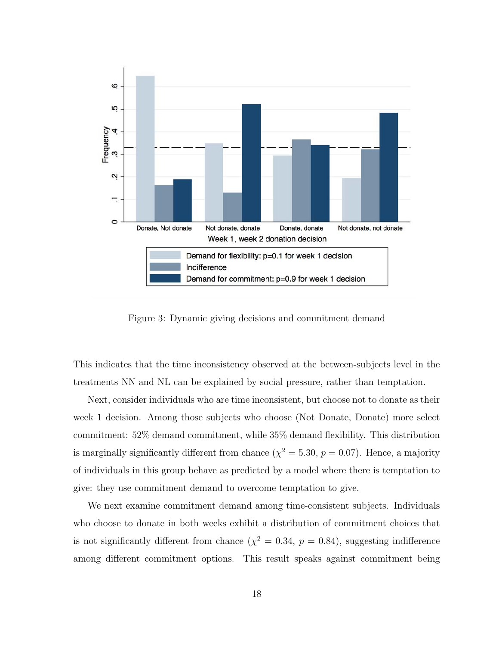

Figure 3: Dynamic giving decisions and commitment demand

This indicates that the time inconsistency observed at the between-subjects level in the treatments NN and NL can be explained by social pressure, rather than temptation.

Next, consider individuals who are time inconsistent, but choose not to donate as their week 1 decision. Among those subjects who choose (Not Donate, Donate) more select commitment: 52% demand commitment, while 35% demand flexibility. This distribution is marginally significantly different from chance  $(\chi^2 = 5.30, p = 0.07)$ . Hence, a majority of individuals in this group behave as predicted by a model where there is temptation to give: they use commitment demand to overcome temptation to give.

We next examine commitment demand among time-consistent subjects. Individuals who choose to donate in both weeks exhibit a distribution of commitment choices that is not significantly different from chance  $(\chi^2 = 0.34, p = 0.84)$ , suggesting indifference among different commitment options. This result speaks against commitment being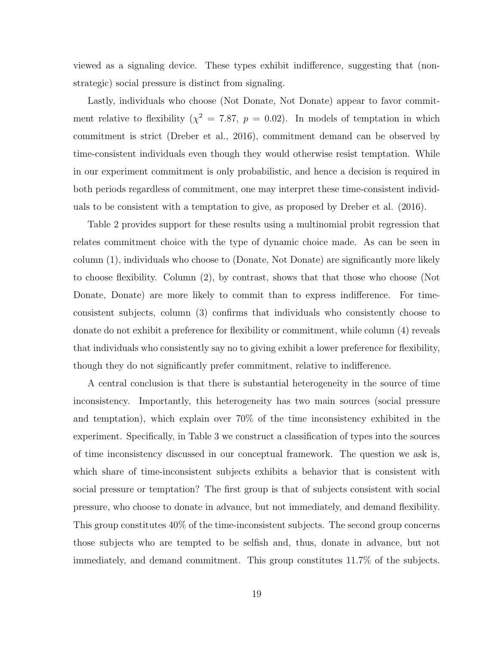viewed as a signaling device. These types exhibit indifference, suggesting that (nonstrategic) social pressure is distinct from signaling.

Lastly, individuals who choose (Not Donate, Not Donate) appear to favor commitment relative to flexibility ( $\chi^2 = 7.87$ ,  $p = 0.02$ ). In models of temptation in which commitment is strict (Dreber et al., 2016), commitment demand can be observed by time-consistent individuals even though they would otherwise resist temptation. While in our experiment commitment is only probabilistic, and hence a decision is required in both periods regardless of commitment, one may interpret these time-consistent individuals to be consistent with a temptation to give, as proposed by Dreber et al. (2016).

Table 2 provides support for these results using a multinomial probit regression that relates commitment choice with the type of dynamic choice made. As can be seen in column (1), individuals who choose to (Donate, Not Donate) are significantly more likely to choose flexibility. Column (2), by contrast, shows that that those who choose (Not Donate, Donate) are more likely to commit than to express indifference. For timeconsistent subjects, column (3) confirms that individuals who consistently choose to donate do not exhibit a preference for flexibility or commitment, while column (4) reveals that individuals who consistently say no to giving exhibit a lower preference for flexibility, though they do not significantly prefer commitment, relative to indifference.

A central conclusion is that there is substantial heterogeneity in the source of time inconsistency. Importantly, this heterogeneity has two main sources (social pressure and temptation), which explain over 70% of the time inconsistency exhibited in the experiment. Specifically, in Table 3 we construct a classification of types into the sources of time inconsistency discussed in our conceptual framework. The question we ask is, which share of time-inconsistent subjects exhibits a behavior that is consistent with social pressure or temptation? The first group is that of subjects consistent with social pressure, who choose to donate in advance, but not immediately, and demand flexibility. This group constitutes 40% of the time-inconsistent subjects. The second group concerns those subjects who are tempted to be selfish and, thus, donate in advance, but not immediately, and demand commitment. This group constitutes 11.7% of the subjects.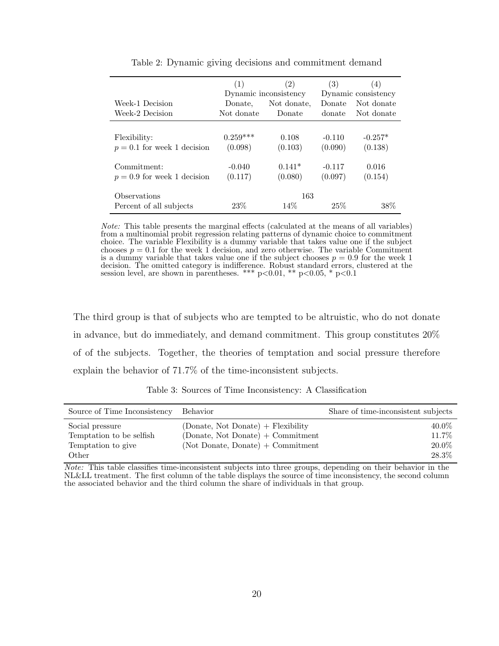|                                         | (1)        | (2)<br>Dynamic inconsistency | (3)      | (4)<br>Dynamic consistency |
|-----------------------------------------|------------|------------------------------|----------|----------------------------|
| Week-1 Decision                         | Donate,    | Not donate.                  | Donate   | Not donate                 |
| Week-2 Decision                         | Not donate | Donate                       | donate   | Not donate                 |
| Flexibility:                            | $0.259***$ | 0.108                        | $-0.110$ | $-0.257*$                  |
| $p = 0.1$ for week 1 decision           | (0.098)    | (0.103)                      | (0.090)  | (0.138)                    |
| Commitment:                             | $-0.040$   | $0.141*$                     | $-0.117$ | 0.016                      |
| $p = 0.9$ for week 1 decision           | (0.117)    | (0.080)                      | (0.097)  | (0.154)                    |
| Observations<br>Percent of all subjects | 23\%       | 163<br>14\%                  | 25%      | 38%                        |

Table 2: Dynamic giving decisions and commitment demand

Note: This table presents the marginal effects (calculated at the means of all variables) from a multinomial probit regression relating patterns of dynamic choice to commitment choice. The variable Flexibility is a dummy variable that takes value one if the subject chooses  $p = 0.1$  for the week 1 decision, and zero otherwise. The variable Commitment is a dummy variable that takes value one if the subject chooses  $p = 0.9$  for the week 1 decision. The omitted category is indifference. Robust standard errors, clustered at the session level, are shown in parentheses. \*\*\*  $p<0.01$ , \*\*  $p<0.05$ , \*  $p<0.1$ 

The third group is that of subjects who are tempted to be altruistic, who do not donate in advance, but do immediately, and demand commitment. This group constitutes 20% of of the subjects. Together, the theories of temptation and social pressure therefore explain the behavior of 71.7% of the time-inconsistent subjects.

| Source of Time Inconsistency                                               | Behavior                                                                                                        | Share of time-inconsistent subjects |
|----------------------------------------------------------------------------|-----------------------------------------------------------------------------------------------------------------|-------------------------------------|
| Social pressure<br>Temptation to be selfish<br>Temptation to give<br>Other | (Donate, Not Donate) + Flexibility<br>(Donate, Not Donate) + Commitment<br>$(Not\, Donate, Donate) + Committee$ | 40.0%<br>11.7%<br>20.0%<br>28.3%    |

Table 3: Sources of Time Inconsistency: A Classification

Note: This table classifies time-inconsistent subjects into three groups, depending on their behavior in the NL&LL treatment. The first column of the table displays the source of time inconsistency, the second column the associated behavior and the third column the share of individuals in that group.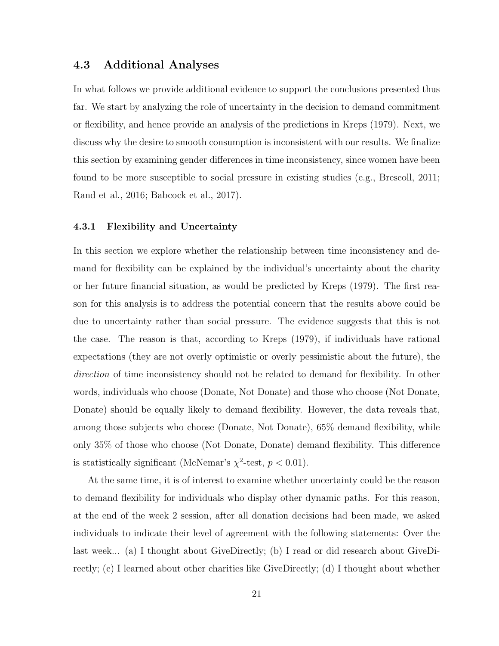### 4.3 Additional Analyses

In what follows we provide additional evidence to support the conclusions presented thus far. We start by analyzing the role of uncertainty in the decision to demand commitment or flexibility, and hence provide an analysis of the predictions in Kreps (1979). Next, we discuss why the desire to smooth consumption is inconsistent with our results. We finalize this section by examining gender differences in time inconsistency, since women have been found to be more susceptible to social pressure in existing studies (e.g., Brescoll, 2011; Rand et al., 2016; Babcock et al., 2017).

#### 4.3.1 Flexibility and Uncertainty

In this section we explore whether the relationship between time inconsistency and demand for flexibility can be explained by the individual's uncertainty about the charity or her future financial situation, as would be predicted by Kreps (1979). The first reason for this analysis is to address the potential concern that the results above could be due to uncertainty rather than social pressure. The evidence suggests that this is not the case. The reason is that, according to Kreps (1979), if individuals have rational expectations (they are not overly optimistic or overly pessimistic about the future), the direction of time inconsistency should not be related to demand for flexibility. In other words, individuals who choose (Donate, Not Donate) and those who choose (Not Donate, Donate) should be equally likely to demand flexibility. However, the data reveals that, among those subjects who choose (Donate, Not Donate), 65% demand flexibility, while only 35% of those who choose (Not Donate, Donate) demand flexibility. This difference is statistically significant (McNemar's  $\chi^2$ -test,  $p < 0.01$ ).

At the same time, it is of interest to examine whether uncertainty could be the reason to demand flexibility for individuals who display other dynamic paths. For this reason, at the end of the week 2 session, after all donation decisions had been made, we asked individuals to indicate their level of agreement with the following statements: Over the last week... (a) I thought about GiveDirectly; (b) I read or did research about GiveDirectly; (c) I learned about other charities like GiveDirectly; (d) I thought about whether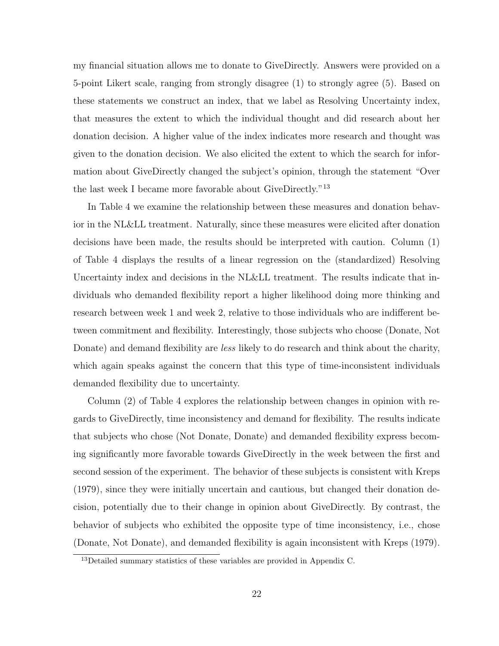my financial situation allows me to donate to GiveDirectly. Answers were provided on a 5-point Likert scale, ranging from strongly disagree (1) to strongly agree (5). Based on these statements we construct an index, that we label as Resolving Uncertainty index, that measures the extent to which the individual thought and did research about her donation decision. A higher value of the index indicates more research and thought was given to the donation decision. We also elicited the extent to which the search for information about GiveDirectly changed the subject's opinion, through the statement "Over the last week I became more favorable about GiveDirectly."<sup>13</sup>

In Table 4 we examine the relationship between these measures and donation behavior in the NL&LL treatment. Naturally, since these measures were elicited after donation decisions have been made, the results should be interpreted with caution. Column (1) of Table 4 displays the results of a linear regression on the (standardized) Resolving Uncertainty index and decisions in the NL&LL treatment. The results indicate that individuals who demanded flexibility report a higher likelihood doing more thinking and research between week 1 and week 2, relative to those individuals who are indifferent between commitment and flexibility. Interestingly, those subjects who choose (Donate, Not Donate) and demand flexibility are *less* likely to do research and think about the charity, which again speaks against the concern that this type of time-inconsistent individuals demanded flexibility due to uncertainty.

Column (2) of Table 4 explores the relationship between changes in opinion with regards to GiveDirectly, time inconsistency and demand for flexibility. The results indicate that subjects who chose (Not Donate, Donate) and demanded flexibility express becoming significantly more favorable towards GiveDirectly in the week between the first and second session of the experiment. The behavior of these subjects is consistent with Kreps (1979), since they were initially uncertain and cautious, but changed their donation decision, potentially due to their change in opinion about GiveDirectly. By contrast, the behavior of subjects who exhibited the opposite type of time inconsistency, i.e., chose (Donate, Not Donate), and demanded flexibility is again inconsistent with Kreps (1979).

<sup>13</sup>Detailed summary statistics of these variables are provided in Appendix C.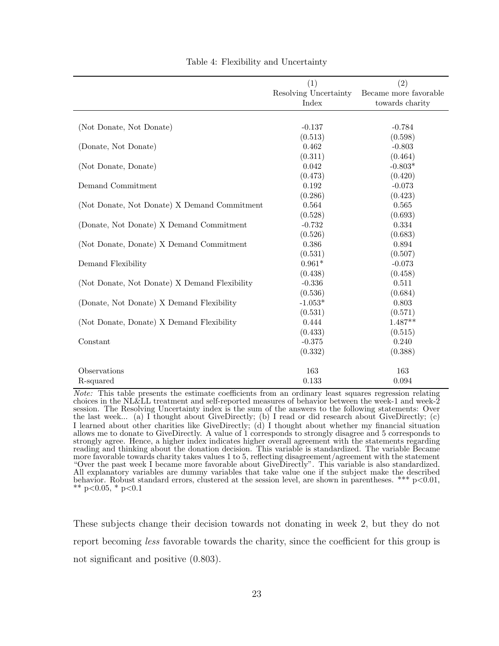| (2)<br>Resolving Uncertainty<br>Became more favorable |
|-------------------------------------------------------|
|                                                       |
|                                                       |
| towards charity                                       |
|                                                       |
|                                                       |
| $-0.784$                                              |
| (0.598)                                               |
| $-0.803$                                              |
| (0.464)                                               |
| $-0.803*$                                             |
| (0.420)                                               |
| $-0.073$                                              |
| (0.423)                                               |
| 0.565                                                 |
| (0.693)                                               |
| 0.334                                                 |
| (0.683)                                               |
| 0.894                                                 |
| (0.507)                                               |
| $-0.073$                                              |
| (0.458)                                               |
| 0.511                                                 |
| (0.684)                                               |
| 0.803                                                 |
| (0.571)                                               |
| $1.487**$                                             |
| (0.515)                                               |
| 0.240                                                 |
| (0.388)                                               |
|                                                       |
| 163                                                   |
|                                                       |
|                                                       |

Table 4: Flexibility and Uncertainty

Note: This table presents the estimate coefficients from an ordinary least squares regression relating choices in the NL&LL treatment and self-reported measures of behavior between the week-1 and week-2 session. The Resolving Uncertainty index is the sum of the answers to the following statements: Over the last week... (a) I thought about GiveDirectly; (b) I read or did research about GiveDirectly; (c) I learned about other charities like GiveDirectly; (d) I thought about whether my financial situation allows me to donate to GiveDirectly. A value of 1 corresponds to strongly disagree and 5 corresponds to strongly agree. Hence, a higher index indicates higher overall agreement with the statements regarding reading and thinking about the donation decision. This variable is standardized. The variable Became more favorable towards charity takes values 1 to 5, reflecting disagreement/agreement with the statement "Over the past week I became more favorable about GiveDirectly". This variable is also standardized. All explanatory variables are dummy variables that take value one if the subject make the described behavior. Robust standard errors, clustered at the session level, are shown in parentheses. \*\*\* p<0.01, \*\* p<0.05, \* p<0.1

These subjects change their decision towards not donating in week 2, but they do not report becoming *less* favorable towards the charity, since the coefficient for this group is not significant and positive (0.803).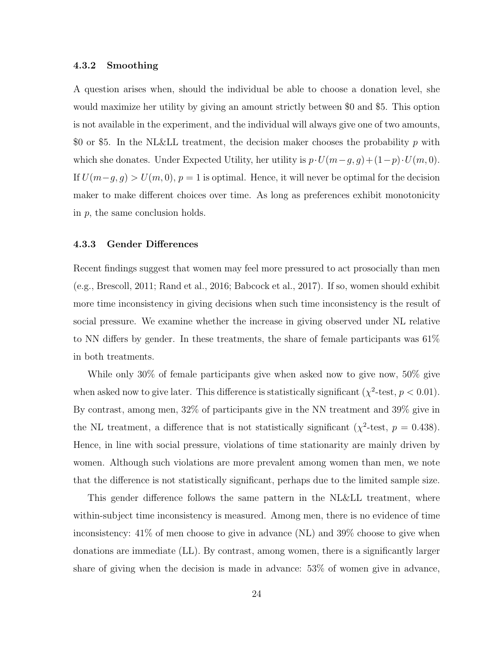#### 4.3.2 Smoothing

A question arises when, should the individual be able to choose a donation level, she would maximize her utility by giving an amount strictly between \$0 and \$5. This option is not available in the experiment, and the individual will always give one of two amounts, \$0 or \$5. In the NL&LL treatment, the decision maker chooses the probability p with which she donates. Under Expected Utility, her utility is  $p \cdot U(m-g, g) + (1-p) \cdot U(m, 0)$ . If  $U(m-g, g) > U(m, 0), p = 1$  is optimal. Hence, it will never be optimal for the decision maker to make different choices over time. As long as preferences exhibit monotonicity in p, the same conclusion holds.

#### 4.3.3 Gender Differences

Recent findings suggest that women may feel more pressured to act prosocially than men (e.g., Brescoll, 2011; Rand et al., 2016; Babcock et al., 2017). If so, women should exhibit more time inconsistency in giving decisions when such time inconsistency is the result of social pressure. We examine whether the increase in giving observed under NL relative to NN differs by gender. In these treatments, the share of female participants was 61% in both treatments.

While only 30% of female participants give when asked now to give now, 50% give when asked now to give later. This difference is statistically significant ( $\chi^2$ -test,  $p < 0.01$ ). By contrast, among men, 32% of participants give in the NN treatment and 39% give in the NL treatment, a difference that is not statistically significant ( $\chi^2$ -test,  $p = 0.438$ ). Hence, in line with social pressure, violations of time stationarity are mainly driven by women. Although such violations are more prevalent among women than men, we note that the difference is not statistically significant, perhaps due to the limited sample size.

This gender difference follows the same pattern in the NL&LL treatment, where within-subject time inconsistency is measured. Among men, there is no evidence of time inconsistency: 41% of men choose to give in advance (NL) and 39% choose to give when donations are immediate (LL). By contrast, among women, there is a significantly larger share of giving when the decision is made in advance: 53% of women give in advance,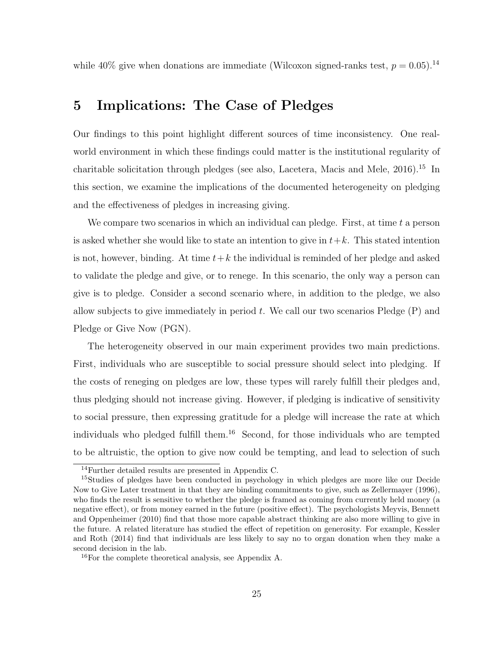while 40% give when donations are immediate (Wilcoxon signed-ranks test,  $p = 0.05$ ).<sup>14</sup>

## 5 Implications: The Case of Pledges

Our findings to this point highlight different sources of time inconsistency. One realworld environment in which these findings could matter is the institutional regularity of charitable solicitation through pledges (see also, Lacetera, Macis and Mele, 2016).<sup>15</sup> In this section, we examine the implications of the documented heterogeneity on pledging and the effectiveness of pledges in increasing giving.

We compare two scenarios in which an individual can pledge. First, at time  $t$  a person is asked whether she would like to state an intention to give in  $t+k$ . This stated intention is not, however, binding. At time  $t+k$  the individual is reminded of her pledge and asked to validate the pledge and give, or to renege. In this scenario, the only way a person can give is to pledge. Consider a second scenario where, in addition to the pledge, we also allow subjects to give immediately in period  $t$ . We call our two scenarios Pledge  $(P)$  and Pledge or Give Now (PGN).

The heterogeneity observed in our main experiment provides two main predictions. First, individuals who are susceptible to social pressure should select into pledging. If the costs of reneging on pledges are low, these types will rarely fulfill their pledges and, thus pledging should not increase giving. However, if pledging is indicative of sensitivity to social pressure, then expressing gratitude for a pledge will increase the rate at which individuals who pledged fulfill them.<sup>16</sup> Second, for those individuals who are tempted to be altruistic, the option to give now could be tempting, and lead to selection of such

<sup>14</sup>Further detailed results are presented in Appendix C.

<sup>&</sup>lt;sup>15</sup>Studies of pledges have been conducted in psychology in which pledges are more like our Decide Now to Give Later treatment in that they are binding commitments to give, such as Zellermayer (1996), who finds the result is sensitive to whether the pledge is framed as coming from currently held money (a negative effect), or from money earned in the future (positive effect). The psychologists Meyvis, Bennett and Oppenheimer (2010) find that those more capable abstract thinking are also more willing to give in the future. A related literature has studied the effect of repetition on generosity. For example, Kessler and Roth (2014) find that individuals are less likely to say no to organ donation when they make a second decision in the lab.

<sup>16</sup>For the complete theoretical analysis, see Appendix A.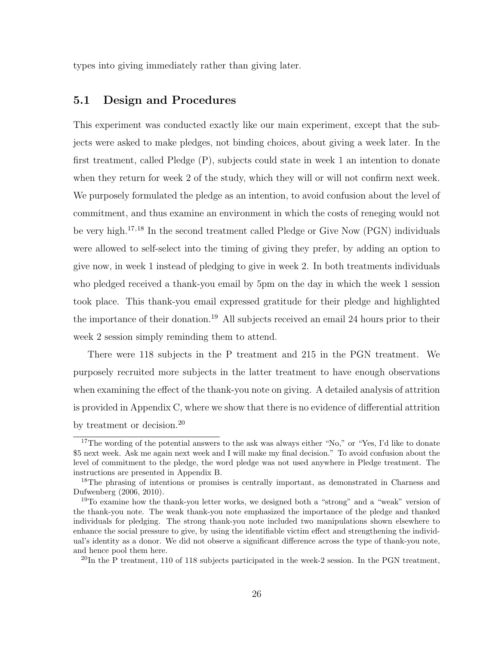types into giving immediately rather than giving later.

### 5.1 Design and Procedures

This experiment was conducted exactly like our main experiment, except that the subjects were asked to make pledges, not binding choices, about giving a week later. In the first treatment, called Pledge (P), subjects could state in week 1 an intention to donate when they return for week 2 of the study, which they will or will not confirm next week. We purposely formulated the pledge as an intention, to avoid confusion about the level of commitment, and thus examine an environment in which the costs of reneging would not be very high.<sup>17,18</sup> In the second treatment called Pledge or Give Now (PGN) individuals were allowed to self-select into the timing of giving they prefer, by adding an option to give now, in week 1 instead of pledging to give in week 2. In both treatments individuals who pledged received a thank-you email by 5pm on the day in which the week 1 session took place. This thank-you email expressed gratitude for their pledge and highlighted the importance of their donation.<sup>19</sup> All subjects received an email 24 hours prior to their week 2 session simply reminding them to attend.

There were 118 subjects in the P treatment and 215 in the PGN treatment. We purposely recruited more subjects in the latter treatment to have enough observations when examining the effect of the thank-you note on giving. A detailed analysis of attrition is provided in Appendix C, where we show that there is no evidence of differential attrition by treatment or decision.<sup>20</sup>

<sup>&</sup>lt;sup>17</sup>The wording of the potential answers to the ask was always either "No," or "Yes, I'd like to donate \$5 next week. Ask me again next week and I will make my final decision." To avoid confusion about the level of commitment to the pledge, the word pledge was not used anywhere in Pledge treatment. The instructions are presented in Appendix B.

<sup>&</sup>lt;sup>18</sup>The phrasing of intentions or promises is centrally important, as demonstrated in Charness and Dufwenberg (2006, 2010).

<sup>19</sup>To examine how the thank-you letter works, we designed both a "strong" and a "weak" version of the thank-you note. The weak thank-you note emphasized the importance of the pledge and thanked individuals for pledging. The strong thank-you note included two manipulations shown elsewhere to enhance the social pressure to give, by using the identifiable victim effect and strengthening the individual's identity as a donor. We did not observe a significant difference across the type of thank-you note, and hence pool them here.

 $^{20}$ In the P treatment, 110 of 118 subjects participated in the week-2 session. In the PGN treatment,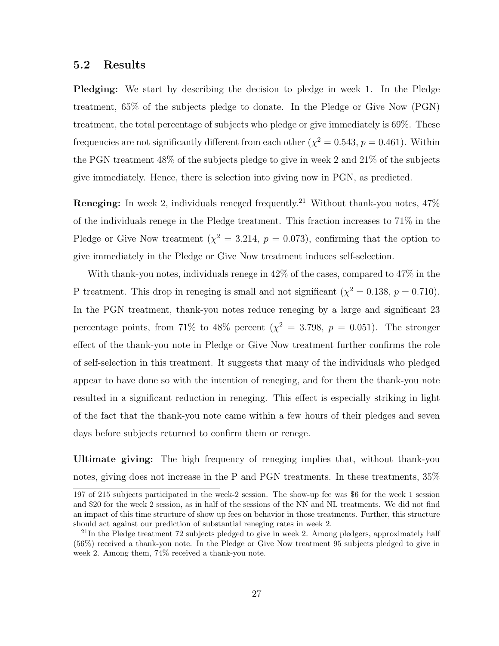#### 5.2 Results

Pledging: We start by describing the decision to pledge in week 1. In the Pledge treatment, 65% of the subjects pledge to donate. In the Pledge or Give Now (PGN) treatment, the total percentage of subjects who pledge or give immediately is 69%. These frequencies are not significantly different from each other  $(\chi^2 = 0.543, p = 0.461)$ . Within the PGN treatment 48% of the subjects pledge to give in week 2 and 21% of the subjects give immediately. Hence, there is selection into giving now in PGN, as predicted.

**Reneging:** In week 2, individuals reneged frequently.<sup>21</sup> Without thank-you notes,  $47\%$ of the individuals renege in the Pledge treatment. This fraction increases to 71% in the Pledge or Give Now treatment ( $\chi^2 = 3.214$ ,  $p = 0.073$ ), confirming that the option to give immediately in the Pledge or Give Now treatment induces self-selection.

With thank-you notes, individuals renege in 42% of the cases, compared to 47% in the P treatment. This drop in reneging is small and not significant  $(\chi^2 = 0.138, p = 0.710)$ . In the PGN treatment, thank-you notes reduce reneging by a large and significant 23 percentage points, from 71% to 48% percent ( $\chi^2 = 3.798$ ,  $p = 0.051$ ). The stronger effect of the thank-you note in Pledge or Give Now treatment further confirms the role of self-selection in this treatment. It suggests that many of the individuals who pledged appear to have done so with the intention of reneging, and for them the thank-you note resulted in a significant reduction in reneging. This effect is especially striking in light of the fact that the thank-you note came within a few hours of their pledges and seven days before subjects returned to confirm them or renege.

Ultimate giving: The high frequency of reneging implies that, without thank-you notes, giving does not increase in the P and PGN treatments. In these treatments, 35%

<sup>197</sup> of 215 subjects participated in the week-2 session. The show-up fee was \$6 for the week 1 session and \$20 for the week 2 session, as in half of the sessions of the NN and NL treatments. We did not find an impact of this time structure of show up fees on behavior in those treatments. Further, this structure should act against our prediction of substantial reneging rates in week 2.

 $^{21}$ In the Pledge treatment 72 subjects pledged to give in week 2. Among pledgers, approximately half (56%) received a thank-you note. In the Pledge or Give Now treatment 95 subjects pledged to give in week 2. Among them, 74% received a thank-you note.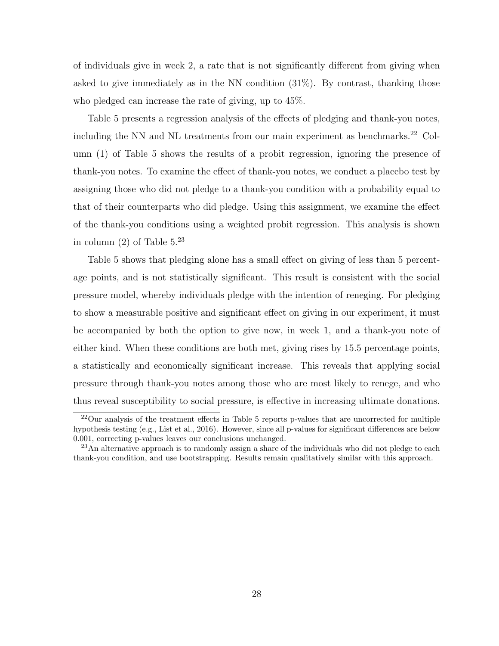of individuals give in week 2, a rate that is not significantly different from giving when asked to give immediately as in the NN condition (31%). By contrast, thanking those who pledged can increase the rate of giving, up to 45%.

Table 5 presents a regression analysis of the effects of pledging and thank-you notes, including the NN and NL treatments from our main experiment as benchmarks.<sup>22</sup> Column (1) of Table 5 shows the results of a probit regression, ignoring the presence of thank-you notes. To examine the effect of thank-you notes, we conduct a placebo test by assigning those who did not pledge to a thank-you condition with a probability equal to that of their counterparts who did pledge. Using this assignment, we examine the effect of the thank-you conditions using a weighted probit regression. This analysis is shown in column  $(2)$  of Table  $5.^{23}$ 

Table 5 shows that pledging alone has a small effect on giving of less than 5 percentage points, and is not statistically significant. This result is consistent with the social pressure model, whereby individuals pledge with the intention of reneging. For pledging to show a measurable positive and significant effect on giving in our experiment, it must be accompanied by both the option to give now, in week 1, and a thank-you note of either kind. When these conditions are both met, giving rises by 15.5 percentage points, a statistically and economically significant increase. This reveals that applying social pressure through thank-you notes among those who are most likely to renege, and who thus reveal susceptibility to social pressure, is effective in increasing ultimate donations.

 $^{22}$ Our analysis of the treatment effects in Table 5 reports p-values that are uncorrected for multiple hypothesis testing (e.g., List et al., 2016). However, since all p-values for significant differences are below 0.001, correcting p-values leaves our conclusions unchanged.

<sup>&</sup>lt;sup>23</sup>An alternative approach is to randomly assign a share of the individuals who did not pledge to each thank-you condition, and use bootstrapping. Results remain qualitatively similar with this approach.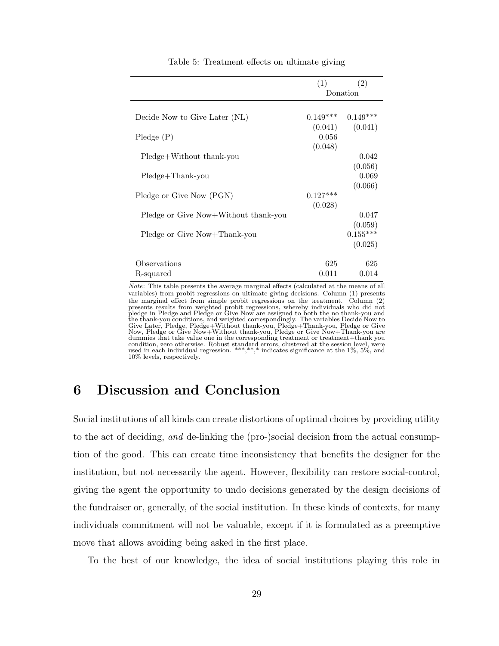|                                      | (1)        | (2)        |
|--------------------------------------|------------|------------|
|                                      | Donation   |            |
|                                      |            |            |
| Decide Now to Give Later (NL)        | $0.149***$ | $0.149***$ |
|                                      | (0.041)    | (0.041)    |
| $P$ ledge $(P)$                      | 0.056      |            |
|                                      | (0.048)    |            |
| Pledge+Without thank-you             |            | 0.042      |
|                                      |            | (0.056)    |
| Pledge+Thank-you                     |            | 0.069      |
|                                      |            | (0.066)    |
| Pledge or Give Now (PGN)             | $0.127***$ |            |
| Pledge or Give Now+Without thank-you | (0.028)    | 0.047      |
|                                      |            | (0.059)    |
| Pledge or Give Now+Thank-you         |            | $0.155***$ |
|                                      |            | (0.025)    |
|                                      |            |            |
| Observations                         | 625        | 625        |
| R-squared                            | 0.011      | 0.014      |

Table 5: Treatment effects on ultimate giving

Note: This table presents the average marginal effects (calculated at the means of all variables) from probit regressions on ultimate giving decisions. Column (1) presents the marginal effect from simple probit regressions on the treatment. Column (2) presents results from weighted probit regressions, whereby individuals who did not pledge in Pledge and Pledge or Give Now are assigned to both the no thank-you and the thank-you conditions, and weighted correspondingly. The variables Decide Now to<br>Give Later, Pledge, Pledge+Without thank-you, Pledge+Thank-you, Pledge or Give<br>Now, Pledge or Give Now+Without thank-you, Pledge or Give N dummies that take value one in the corresponding treatment or treatment+thank you condition, zero otherwise. Robust standard errors, clustered at the session level, were used in each individual regression. \*\*\*,\*,\*,\* indicates significance at the 1%, 5%, and 10% levels, respectively.

## 6 Discussion and Conclusion

Social institutions of all kinds can create distortions of optimal choices by providing utility to the act of deciding, and de-linking the (pro-)social decision from the actual consumption of the good. This can create time inconsistency that benefits the designer for the institution, but not necessarily the agent. However, flexibility can restore social-control, giving the agent the opportunity to undo decisions generated by the design decisions of the fundraiser or, generally, of the social institution. In these kinds of contexts, for many individuals commitment will not be valuable, except if it is formulated as a preemptive move that allows avoiding being asked in the first place.

To the best of our knowledge, the idea of social institutions playing this role in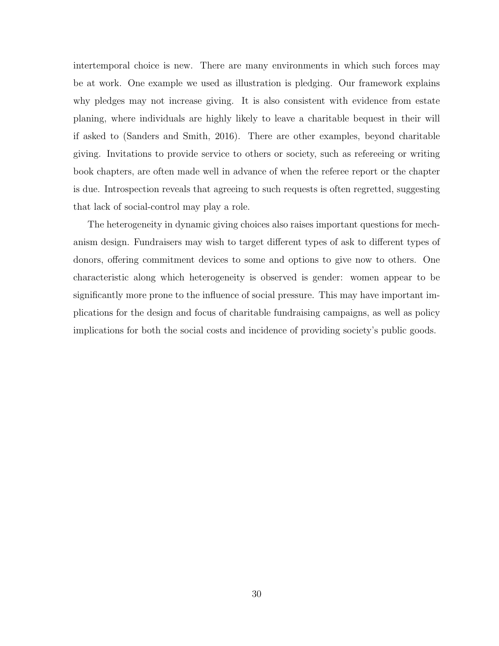intertemporal choice is new. There are many environments in which such forces may be at work. One example we used as illustration is pledging. Our framework explains why pledges may not increase giving. It is also consistent with evidence from estate planing, where individuals are highly likely to leave a charitable bequest in their will if asked to (Sanders and Smith, 2016). There are other examples, beyond charitable giving. Invitations to provide service to others or society, such as refereeing or writing book chapters, are often made well in advance of when the referee report or the chapter is due. Introspection reveals that agreeing to such requests is often regretted, suggesting that lack of social-control may play a role.

The heterogeneity in dynamic giving choices also raises important questions for mechanism design. Fundraisers may wish to target different types of ask to different types of donors, offering commitment devices to some and options to give now to others. One characteristic along which heterogeneity is observed is gender: women appear to be significantly more prone to the influence of social pressure. This may have important implications for the design and focus of charitable fundraising campaigns, as well as policy implications for both the social costs and incidence of providing society's public goods.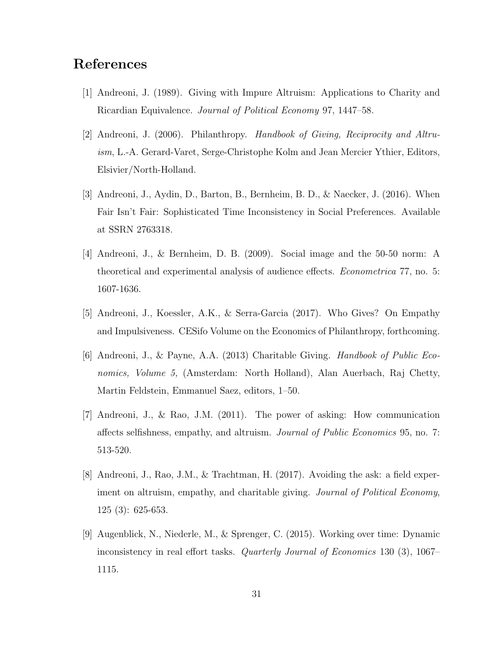# References

- [1] Andreoni, J. (1989). Giving with Impure Altruism: Applications to Charity and Ricardian Equivalence. Journal of Political Economy 97, 1447–58.
- [2] Andreoni, J. (2006). Philanthropy. Handbook of Giving, Reciprocity and Altruism, L.-A. Gerard-Varet, Serge-Christophe Kolm and Jean Mercier Ythier, Editors, Elsivier/North-Holland.
- [3] Andreoni, J., Aydin, D., Barton, B., Bernheim, B. D., & Naecker, J. (2016). When Fair Isn't Fair: Sophisticated Time Inconsistency in Social Preferences. Available at SSRN 2763318.
- [4] Andreoni, J., & Bernheim, D. B. (2009). Social image and the 50-50 norm: A theoretical and experimental analysis of audience effects. Econometrica 77, no. 5: 1607-1636.
- [5] Andreoni, J., Koessler, A.K., & Serra-Garcia (2017). Who Gives? On Empathy and Impulsiveness. CESifo Volume on the Economics of Philanthropy, forthcoming.
- [6] Andreoni, J., & Payne, A.A. (2013) Charitable Giving. Handbook of Public Economics, Volume 5, (Amsterdam: North Holland), Alan Auerbach, Raj Chetty, Martin Feldstein, Emmanuel Saez, editors, 1–50.
- [7] Andreoni, J., & Rao, J.M. (2011). The power of asking: How communication affects selfishness, empathy, and altruism. Journal of Public Economics 95, no. 7: 513-520.
- [8] Andreoni, J., Rao, J.M., & Trachtman, H. (2017). Avoiding the ask: a field experiment on altruism, empathy, and charitable giving. Journal of Political Economy, 125 (3): 625-653.
- [9] Augenblick, N., Niederle, M., & Sprenger, C. (2015). Working over time: Dynamic inconsistency in real effort tasks. Quarterly Journal of Economics 130 (3), 1067– 1115.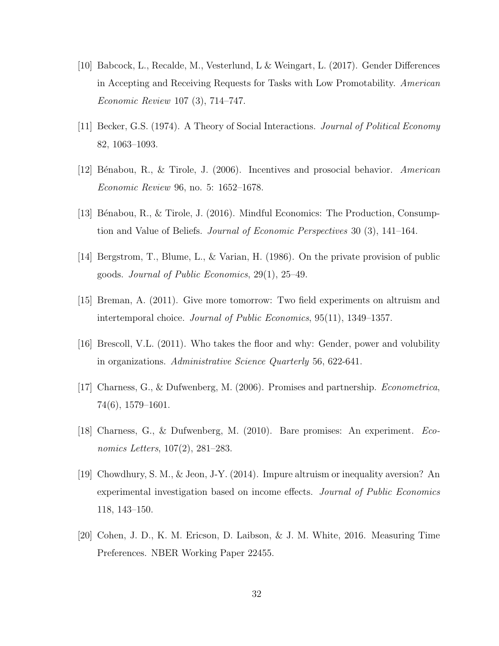- [10] Babcock, L., Recalde, M., Vesterlund, L & Weingart, L. (2017). Gender Differences in Accepting and Receiving Requests for Tasks with Low Promotability. American Economic Review 107 (3), 714–747.
- [11] Becker, G.S. (1974). A Theory of Social Interactions. Journal of Political Economy 82, 1063–1093.
- [12] B´enabou, R., & Tirole, J. (2006). Incentives and prosocial behavior. American Economic Review 96, no. 5: 1652–1678.
- [13] Bénabou, R., & Tirole, J. (2016). Mindful Economics: The Production, Consumption and Value of Beliefs. Journal of Economic Perspectives 30 (3), 141–164.
- [14] Bergstrom, T., Blume, L., & Varian, H. (1986). On the private provision of public goods. Journal of Public Economics, 29(1), 25–49.
- [15] Breman, A. (2011). Give more tomorrow: Two field experiments on altruism and intertemporal choice. Journal of Public Economics, 95(11), 1349–1357.
- [16] Brescoll, V.L. (2011). Who takes the floor and why: Gender, power and volubility in organizations. Administrative Science Quarterly 56, 622-641.
- [17] Charness, G., & Dufwenberg, M. (2006). Promises and partnership. Econometrica, 74(6), 1579–1601.
- [18] Charness, G., & Dufwenberg, M. (2010). Bare promises: An experiment. Economics Letters, 107(2), 281–283.
- [19] Chowdhury, S. M., & Jeon, J-Y. (2014). Impure altruism or inequality aversion? An experimental investigation based on income effects. Journal of Public Economics 118, 143–150.
- [20] Cohen, J. D., K. M. Ericson, D. Laibson, & J. M. White, 2016. Measuring Time Preferences. NBER Working Paper 22455.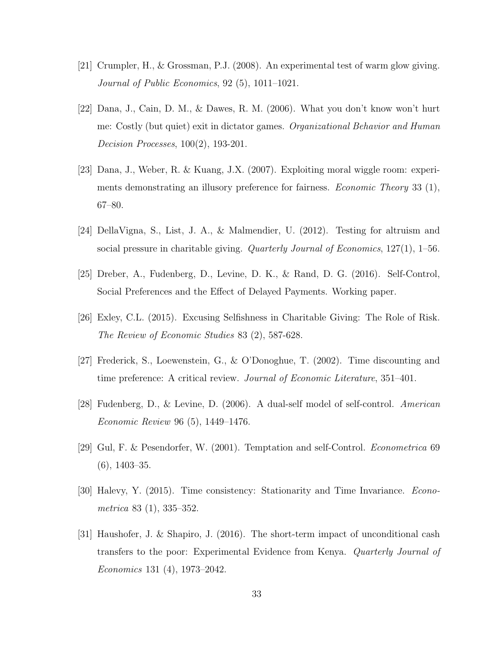- [21] Crumpler, H., & Grossman, P.J. (2008). An experimental test of warm glow giving. Journal of Public Economics, 92 (5), 1011–1021.
- [22] Dana, J., Cain, D. M., & Dawes, R. M. (2006). What you don't know won't hurt me: Costly (but quiet) exit in dictator games. Organizational Behavior and Human Decision Processes, 100(2), 193-201.
- [23] Dana, J., Weber, R. & Kuang, J.X. (2007). Exploiting moral wiggle room: experiments demonstrating an illusory preference for fairness. *Economic Theory* 33 (1), 67–80.
- [24] DellaVigna, S., List, J. A., & Malmendier, U. (2012). Testing for altruism and social pressure in charitable giving. Quarterly Journal of Economics, 127(1), 1–56.
- [25] Dreber, A., Fudenberg, D., Levine, D. K., & Rand, D. G. (2016). Self-Control, Social Preferences and the Effect of Delayed Payments. Working paper.
- [26] Exley, C.L. (2015). Excusing Selfishness in Charitable Giving: The Role of Risk. The Review of Economic Studies 83 (2), 587-628.
- [27] Frederick, S., Loewenstein, G., & O'Donoghue, T. (2002). Time discounting and time preference: A critical review. Journal of Economic Literature, 351–401.
- [28] Fudenberg, D., & Levine, D. (2006). A dual-self model of self-control. American Economic Review 96 (5), 1449–1476.
- [29] Gul, F. & Pesendorfer, W. (2001). Temptation and self-Control. Econometrica 69 (6), 1403–35.
- [30] Halevy, Y. (2015). Time consistency: Stationarity and Time Invariance. Econometrica 83 (1), 335–352.
- [31] Haushofer, J. & Shapiro, J. (2016). The short-term impact of unconditional cash transfers to the poor: Experimental Evidence from Kenya. Quarterly Journal of Economics 131 (4), 1973–2042.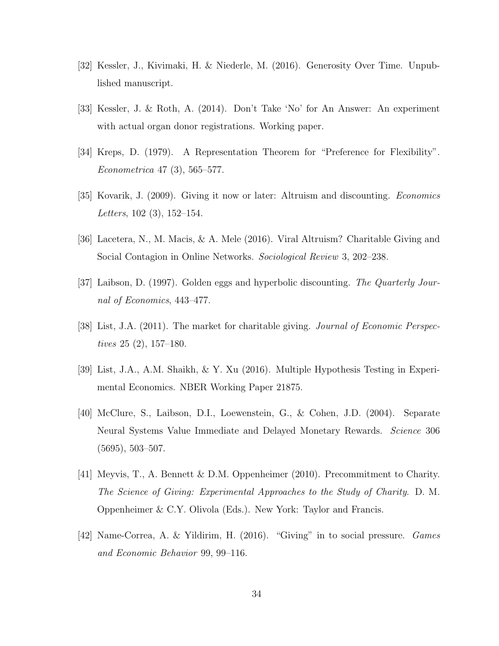- [32] Kessler, J., Kivimaki, H. & Niederle, M. (2016). Generosity Over Time. Unpublished manuscript.
- [33] Kessler, J. & Roth, A. (2014). Don't Take 'No' for An Answer: An experiment with actual organ donor registrations. Working paper.
- [34] Kreps, D. (1979). A Representation Theorem for "Preference for Flexibility". Econometrica 47 (3), 565–577.
- [35] Kovarik, J. (2009). Giving it now or later: Altruism and discounting. Economics Letters, 102 (3), 152–154.
- [36] Lacetera, N., M. Macis, & A. Mele (2016). Viral Altruism? Charitable Giving and Social Contagion in Online Networks. Sociological Review 3, 202–238.
- [37] Laibson, D. (1997). Golden eggs and hyperbolic discounting. The Quarterly Journal of Economics, 443–477.
- [38] List, J.A. (2011). The market for charitable giving. Journal of Economic Perspectives 25 (2), 157–180.
- [39] List, J.A., A.M. Shaikh, & Y. Xu (2016). Multiple Hypothesis Testing in Experimental Economics. NBER Working Paper 21875.
- [40] McClure, S., Laibson, D.I., Loewenstein, G., & Cohen, J.D. (2004). Separate Neural Systems Value Immediate and Delayed Monetary Rewards. Science 306 (5695), 503–507.
- [41] Meyvis, T., A. Bennett & D.M. Oppenheimer (2010). Precommitment to Charity. The Science of Giving: Experimental Approaches to the Study of Charity. D. M. Oppenheimer & C.Y. Olivola (Eds.). New York: Taylor and Francis.
- [42] Name-Correa, A. & Yildirim, H. (2016). "Giving" in to social pressure. Games and Economic Behavior 99, 99–116.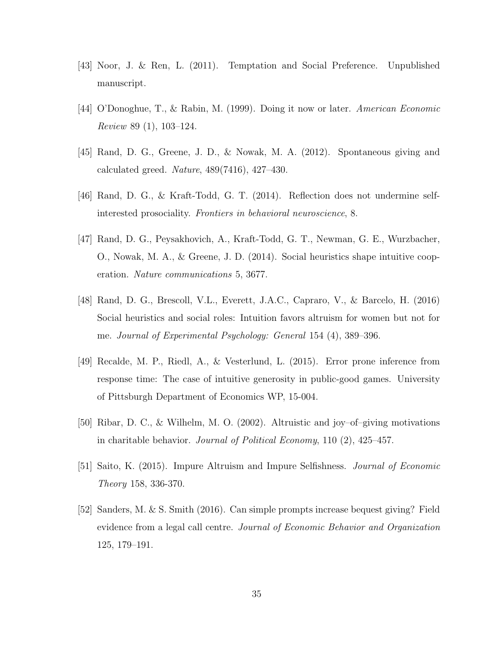- [43] Noor, J. & Ren, L. (2011). Temptation and Social Preference. Unpublished manuscript.
- [44] O'Donoghue, T., & Rabin, M. (1999). Doing it now or later. American Economic Review 89 (1), 103–124.
- [45] Rand, D. G., Greene, J. D., & Nowak, M. A. (2012). Spontaneous giving and calculated greed. *Nature*,  $489(7416)$ ,  $427-430$ .
- [46] Rand, D. G., & Kraft-Todd, G. T. (2014). Reflection does not undermine selfinterested prosociality. Frontiers in behavioral neuroscience, 8.
- [47] Rand, D. G., Peysakhovich, A., Kraft-Todd, G. T., Newman, G. E., Wurzbacher, O., Nowak, M. A., & Greene, J. D. (2014). Social heuristics shape intuitive cooperation. Nature communications 5, 3677.
- [48] Rand, D. G., Brescoll, V.L., Everett, J.A.C., Capraro, V., & Barcelo, H. (2016) Social heuristics and social roles: Intuition favors altruism for women but not for me. Journal of Experimental Psychology: General 154 (4), 389–396.
- [49] Recalde, M. P., Riedl, A., & Vesterlund, L. (2015). Error prone inference from response time: The case of intuitive generosity in public-good games. University of Pittsburgh Department of Economics WP, 15-004.
- [50] Ribar, D. C., & Wilhelm, M. O. (2002). Altruistic and joy–of–giving motivations in charitable behavior. Journal of Political Economy, 110  $(2)$ , 425–457.
- [51] Saito, K. (2015). Impure Altruism and Impure Selfishness. Journal of Economic Theory 158, 336-370.
- [52] Sanders, M. & S. Smith (2016). Can simple prompts increase bequest giving? Field evidence from a legal call centre. Journal of Economic Behavior and Organization 125, 179–191.